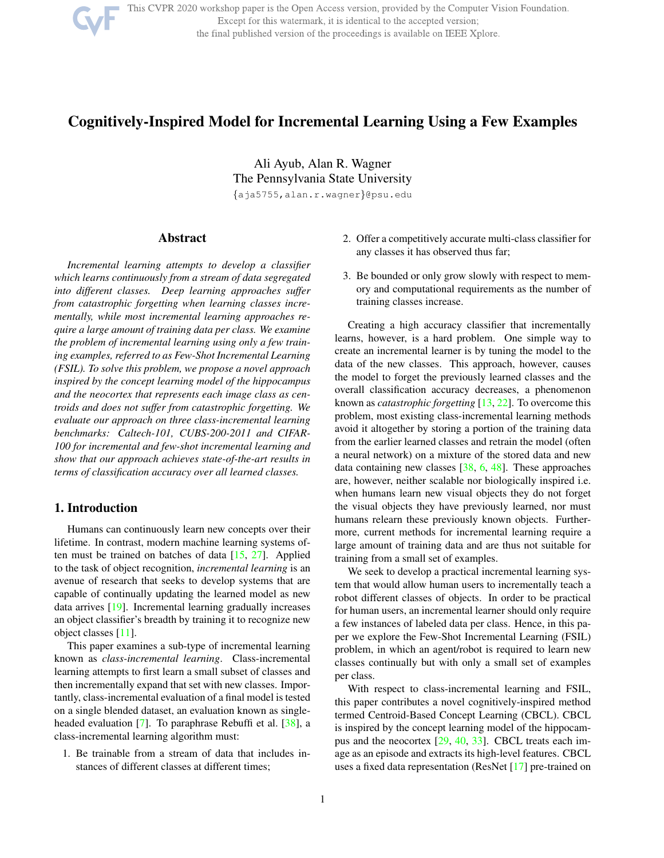

This CVPR 2020 workshop paper is the Open Access version, provided by the Computer Vision Foundation. Except for this watermark, it is identical to the accepted version; the final published version of the proceedings is available on IEEE Xplore.

# Cognitively-Inspired Model for Incremental Learning Using a Few Examples

Ali Ayub, Alan R. Wagner The Pennsylvania State University {aja5755,alan.r.wagner}@psu.edu

Abstract

*Incremental learning attempts to develop a classifier which learns continuously from a stream of data segregated into different classes. Deep learning approaches suffer from catastrophic forgetting when learning classes incrementally, while most incremental learning approaches require a large amount of training data per class. We examine the problem of incremental learning using only a few training examples, referred to as Few-Shot Incremental Learning (FSIL). To solve this problem, we propose a novel approach inspired by the concept learning model of the hippocampus and the neocortex that represents each image class as centroids and does not suffer from catastrophic forgetting. We evaluate our approach on three class-incremental learning benchmarks: Caltech-101, CUBS-200-2011 and CIFAR-100 for incremental and few-shot incremental learning and show that our approach achieves state-of-the-art results in terms of classification accuracy over all learned classes.*

## 1. Introduction

Humans can continuously learn new concepts over their lifetime. In contrast, modern machine learning systems often must be trained on batches of data  $[15, 27]$ . Applied to the task of object recognition, *incremental learning* is an avenue of research that seeks to develop systems that are capable of continually updating the learned model as new data arrives [19]. Incremental learning gradually increases an object classifier's breadth by training it to recognize new object classes [11].

This paper examines a sub-type of incremental learning known as *class-incremental learning*. Class-incremental learning attempts to first learn a small subset of classes and then incrementally expand that set with new classes. Importantly, class-incremental evaluation of a final model is tested on a single blended dataset, an evaluation known as singleheaded evaluation [7]. To paraphrase Rebuffi et al. [38], a class-incremental learning algorithm must:

1. Be trainable from a stream of data that includes instances of different classes at different times;

- 2. Offer a competitively accurate multi-class classifier for any classes it has observed thus far;
- 3. Be bounded or only grow slowly with respect to memory and computational requirements as the number of training classes increase.

Creating a high accuracy classifier that incrementally learns, however, is a hard problem. One simple way to create an incremental learner is by tuning the model to the data of the new classes. This approach, however, causes the model to forget the previously learned classes and the overall classification accuracy decreases, a phenomenon known as *catastrophic forgetting* [13, 22]. To overcome this problem, most existing class-incremental learning methods avoid it altogether by storing a portion of the training data from the earlier learned classes and retrain the model (often a neural network) on a mixture of the stored data and new data containing new classes [38, 6, 48]. These approaches are, however, neither scalable nor biologically inspired i.e. when humans learn new visual objects they do not forget the visual objects they have previously learned, nor must humans relearn these previously known objects. Furthermore, current methods for incremental learning require a large amount of training data and are thus not suitable for training from a small set of examples.

We seek to develop a practical incremental learning system that would allow human users to incrementally teach a robot different classes of objects. In order to be practical for human users, an incremental learner should only require a few instances of labeled data per class. Hence, in this paper we explore the Few-Shot Incremental Learning (FSIL) problem, in which an agent/robot is required to learn new classes continually but with only a small set of examples per class.

With respect to class-incremental learning and FSIL, this paper contributes a novel cognitively-inspired method termed Centroid-Based Concept Learning (CBCL). CBCL is inspired by the concept learning model of the hippocampus and the neocortex [29, 40, 33]. CBCL treats each image as an episode and extracts its high-level features. CBCL uses a fixed data representation (ResNet [17] pre-trained on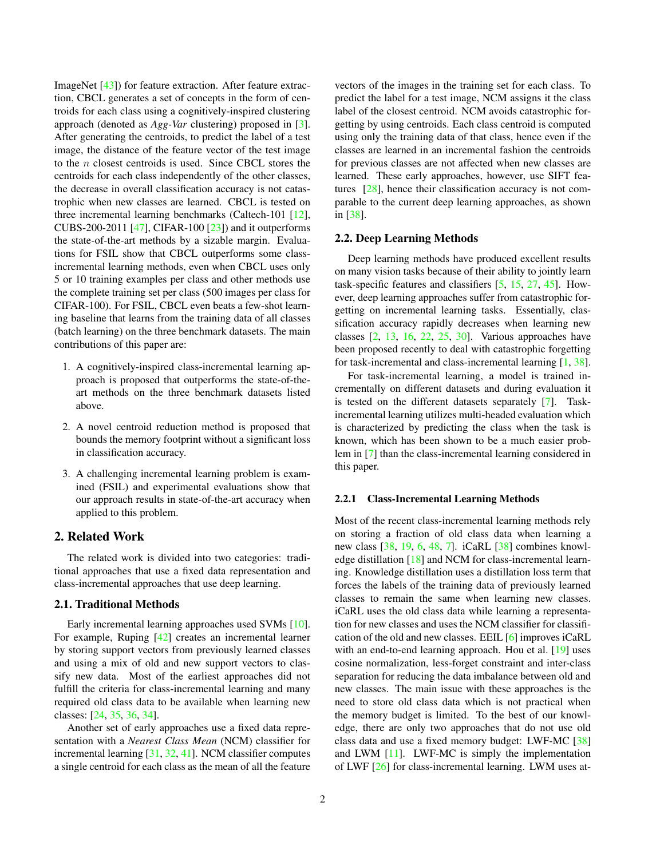ImageNet [43]) for feature extraction. After feature extraction, CBCL generates a set of concepts in the form of centroids for each class using a cognitively-inspired clustering approach (denoted as *Agg-Var* clustering) proposed in [3]. After generating the centroids, to predict the label of a test image, the distance of the feature vector of the test image to the  $n$  closest centroids is used. Since CBCL stores the centroids for each class independently of the other classes, the decrease in overall classification accuracy is not catastrophic when new classes are learned. CBCL is tested on three incremental learning benchmarks (Caltech-101 [12], CUBS-200-2011 [47], CIFAR-100  $[23]$  and it outperforms the state-of-the-art methods by a sizable margin. Evaluations for FSIL show that CBCL outperforms some classincremental learning methods, even when CBCL uses only 5 or 10 training examples per class and other methods use the complete training set per class (500 images per class for CIFAR-100). For FSIL, CBCL even beats a few-shot learning baseline that learns from the training data of all classes (batch learning) on the three benchmark datasets. The main contributions of this paper are:

- 1. A cognitively-inspired class-incremental learning approach is proposed that outperforms the state-of-theart methods on the three benchmark datasets listed above.
- 2. A novel centroid reduction method is proposed that bounds the memory footprint without a significant loss in classification accuracy.
- 3. A challenging incremental learning problem is examined (FSIL) and experimental evaluations show that our approach results in state-of-the-art accuracy when applied to this problem.

## 2. Related Work

The related work is divided into two categories: traditional approaches that use a fixed data representation and class-incremental approaches that use deep learning.

### 2.1. Traditional Methods

Early incremental learning approaches used SVMs [10]. For example, Ruping [42] creates an incremental learner by storing support vectors from previously learned classes and using a mix of old and new support vectors to classify new data. Most of the earliest approaches did not fulfill the criteria for class-incremental learning and many required old class data to be available when learning new classes: [24, 35, 36, 34].

Another set of early approaches use a fixed data representation with a *Nearest Class Mean* (NCM) classifier for incremental learning [31, 32, 41]. NCM classifier computes a single centroid for each class as the mean of all the feature vectors of the images in the training set for each class. To predict the label for a test image, NCM assigns it the class label of the closest centroid. NCM avoids catastrophic forgetting by using centroids. Each class centroid is computed using only the training data of that class, hence even if the classes are learned in an incremental fashion the centroids for previous classes are not affected when new classes are learned. These early approaches, however, use SIFT features [28], hence their classification accuracy is not comparable to the current deep learning approaches, as shown in [38].

## 2.2. Deep Learning Methods

Deep learning methods have produced excellent results on many vision tasks because of their ability to jointly learn task-specific features and classifiers [5, 15, 27, 45]. However, deep learning approaches suffer from catastrophic forgetting on incremental learning tasks. Essentially, classification accuracy rapidly decreases when learning new classes [2, 13, 16, 22, 25, 30]. Various approaches have been proposed recently to deal with catastrophic forgetting for task-incremental and class-incremental learning [1, 38].

For task-incremental learning, a model is trained incrementally on different datasets and during evaluation it is tested on the different datasets separately [7]. Taskincremental learning utilizes multi-headed evaluation which is characterized by predicting the class when the task is known, which has been shown to be a much easier problem in [7] than the class-incremental learning considered in this paper.

#### 2.2.1 Class-Incremental Learning Methods

Most of the recent class-incremental learning methods rely on storing a fraction of old class data when learning a new class [38, 19, 6, 48, 7]. iCaRL [38] combines knowledge distillation [18] and NCM for class-incremental learning. Knowledge distillation uses a distillation loss term that forces the labels of the training data of previously learned classes to remain the same when learning new classes. iCaRL uses the old class data while learning a representation for new classes and uses the NCM classifier for classification of the old and new classes. EEIL [6] improves iCaRL with an end-to-end learning approach. Hou et al. [19] uses cosine normalization, less-forget constraint and inter-class separation for reducing the data imbalance between old and new classes. The main issue with these approaches is the need to store old class data which is not practical when the memory budget is limited. To the best of our knowledge, there are only two approaches that do not use old class data and use a fixed memory budget: LWF-MC [38] and LWM [11]. LWF-MC is simply the implementation of LWF [26] for class-incremental learning. LWM uses at-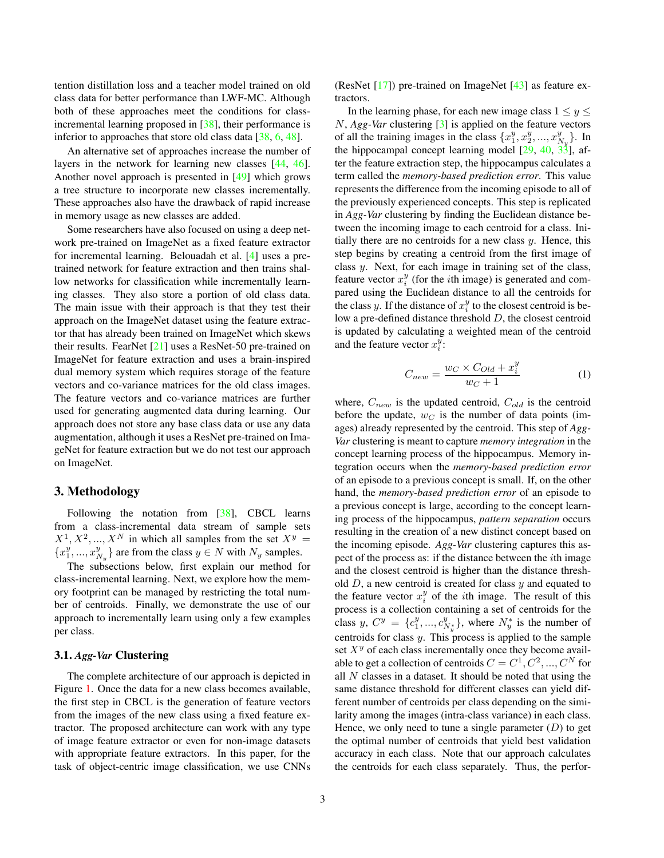tention distillation loss and a teacher model trained on old class data for better performance than LWF-MC. Although both of these approaches meet the conditions for classincremental learning proposed in [38], their performance is inferior to approaches that store old class data [38, 6, 48].

An alternative set of approaches increase the number of layers in the network for learning new classes [44, 46]. Another novel approach is presented in [49] which grows a tree structure to incorporate new classes incrementally. These approaches also have the drawback of rapid increase in memory usage as new classes are added.

Some researchers have also focused on using a deep network pre-trained on ImageNet as a fixed feature extractor for incremental learning. Belouadah et al. [4] uses a pretrained network for feature extraction and then trains shallow networks for classification while incrementally learning classes. They also store a portion of old class data. The main issue with their approach is that they test their approach on the ImageNet dataset using the feature extractor that has already been trained on ImageNet which skews their results. FearNet [21] uses a ResNet-50 pre-trained on ImageNet for feature extraction and uses a brain-inspired dual memory system which requires storage of the feature vectors and co-variance matrices for the old class images. The feature vectors and co-variance matrices are further used for generating augmented data during learning. Our approach does not store any base class data or use any data augmentation, although it uses a ResNet pre-trained on ImageNet for feature extraction but we do not test our approach on ImageNet.

## 3. Methodology

Following the notation from [38], CBCL learns from a class-incremental data stream of sample sets  $X^1, X^2, ..., X^N$  in which all samples from the set  $X^y =$  ${x_1^y, ..., x_{N_y}^y}$  are from the class  $y \in N$  with  $N_y$  samples.

The subsections below, first explain our method for class-incremental learning. Next, we explore how the memory footprint can be managed by restricting the total number of centroids. Finally, we demonstrate the use of our approach to incrementally learn using only a few examples per class.

#### 3.1. *Agg-Var* Clustering

The complete architecture of our approach is depicted in Figure 1. Once the data for a new class becomes available, the first step in CBCL is the generation of feature vectors from the images of the new class using a fixed feature extractor. The proposed architecture can work with any type of image feature extractor or even for non-image datasets with appropriate feature extractors. In this paper, for the task of object-centric image classification, we use CNNs

(ResNet [17]) pre-trained on ImageNet [43] as feature extractors.

In the learning phase, for each new image class  $1 \le y \le$ N, *Agg-Var* clustering [3] is applied on the feature vectors of all the training images in the class  $\{x_1^y, x_2^y, ..., x_{N_y}^y\}$ . In the hippocampal concept learning model  $[29, 40, 33]$ , after the feature extraction step, the hippocampus calculates a term called the *memory-based prediction error*. This value represents the difference from the incoming episode to all of the previously experienced concepts. This step is replicated in *Agg-Var* clustering by finding the Euclidean distance between the incoming image to each centroid for a class. Initially there are no centroids for a new class  $y$ . Hence, this step begins by creating a centroid from the first image of class y. Next, for each image in training set of the class, feature vector  $x_i^y$  (for the *i*th image) is generated and compared using the Euclidean distance to all the centroids for the class y. If the distance of  $x_i^y$  to the closest centroid is below a pre-defined distance threshold D, the closest centroid is updated by calculating a weighted mean of the centroid and the feature vector  $x_i^y$ .

$$
C_{new} = \frac{w_C \times C_{Old} + x_i^y}{w_C + 1} \tag{1}
$$

where,  $C_{new}$  is the updated centroid,  $C_{old}$  is the centroid before the update,  $w_C$  is the number of data points (images) already represented by the centroid. This step of *Agg-Var* clustering is meant to capture *memory integration* in the concept learning process of the hippocampus. Memory integration occurs when the *memory-based prediction error* of an episode to a previous concept is small. If, on the other hand, the *memory-based prediction error* of an episode to a previous concept is large, according to the concept learning process of the hippocampus, *pattern separation* occurs resulting in the creation of a new distinct concept based on the incoming episode. *Agg-Var* clustering captures this aspect of the process as: if the distance between the ith image and the closest centroid is higher than the distance threshold  $D$ , a new centroid is created for class  $y$  and equated to the feature vector  $x_i^y$  of the *i*th image. The result of this process is a collection containing a set of centroids for the class  $y, C^y = \{c_1^y, ..., c_{N_y^y}^y\}$ , where  $N_y^*$  is the number of centroids for class y. This process is applied to the sample set  $X<sup>y</sup>$  of each class incrementally once they become available to get a collection of centroids  $C = C^1, C^2, ..., C^N$  for all  $N$  classes in a dataset. It should be noted that using the same distance threshold for different classes can yield different number of centroids per class depending on the similarity among the images (intra-class variance) in each class. Hence, we only need to tune a single parameter  $(D)$  to get the optimal number of centroids that yield best validation accuracy in each class. Note that our approach calculates the centroids for each class separately. Thus, the perfor-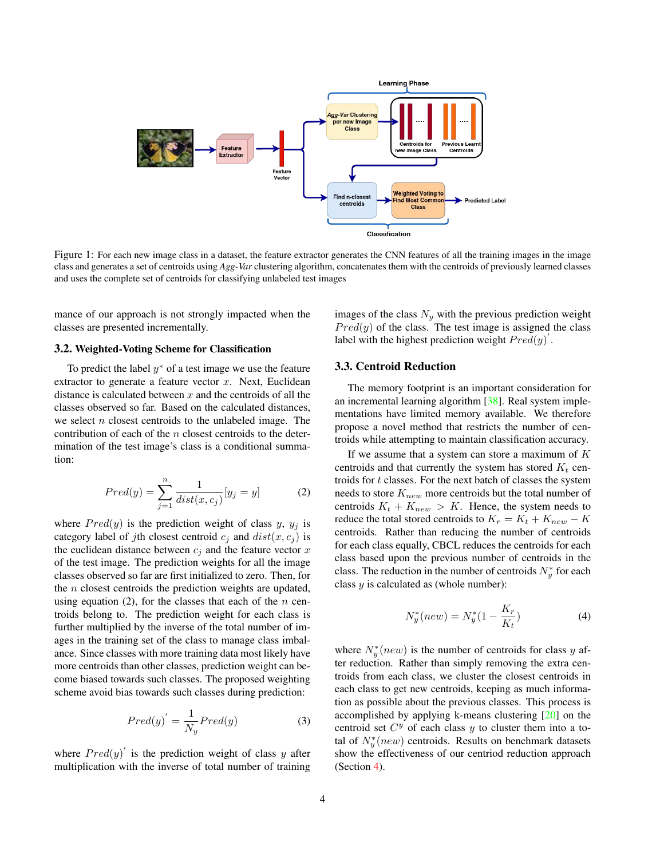

Figure 1: For each new image class in a dataset, the feature extractor generates the CNN features of all the training images in the image class and generates a set of centroids using *Agg-Var* clustering algorithm, concatenates them with the centroids of previously learned classes and uses the complete set of centroids for classifying unlabeled test images

mance of our approach is not strongly impacted when the classes are presented incrementally.

#### 3.2. Weighted-Voting Scheme for Classification

To predict the label  $y^*$  of a test image we use the feature extractor to generate a feature vector  $x$ . Next, Euclidean distance is calculated between  $x$  and the centroids of all the classes observed so far. Based on the calculated distances, we select  $n$  closest centroids to the unlabeled image. The contribution of each of the  $n$  closest centroids to the determination of the test image's class is a conditional summation:

$$
Pred(y) = \sum_{j=1}^{n} \frac{1}{dist(x, c_j)} [y_j = y]
$$
 (2)

where  $Pred(y)$  is the prediction weight of class y,  $y_j$  is category label of jth closest centroid  $c_j$  and  $dist(x, c_j)$  is the euclidean distance between  $c_j$  and the feature vector x of the test image. The prediction weights for all the image classes observed so far are first initialized to zero. Then, for the  $n$  closest centroids the prediction weights are updated, using equation  $(2)$ , for the classes that each of the *n* centroids belong to. The prediction weight for each class is further multiplied by the inverse of the total number of images in the training set of the class to manage class imbalance. Since classes with more training data most likely have more centroids than other classes, prediction weight can become biased towards such classes. The proposed weighting scheme avoid bias towards such classes during prediction:

$$
Pred(y)' = \frac{1}{N_y} Pred(y)
$$
 (3)

where  $Pred(y)'$  is the prediction weight of class y after multiplication with the inverse of total number of training images of the class  $N_y$  with the previous prediction weight  $Pred(y)$  of the class. The test image is assigned the class label with the highest prediction weight  $Pred(y)$ .

#### 3.3. Centroid Reduction

The memory footprint is an important consideration for an incremental learning algorithm [38]. Real system implementations have limited memory available. We therefore propose a novel method that restricts the number of centroids while attempting to maintain classification accuracy.

If we assume that a system can store a maximum of  $K$ centroids and that currently the system has stored  $K_t$  centroids for  $t$  classes. For the next batch of classes the system needs to store  $K_{new}$  more centroids but the total number of centroids  $K_t + K_{new} > K$ . Hence, the system needs to reduce the total stored centroids to  $K_r = K_t + K_{new} - K$ centroids. Rather than reducing the number of centroids for each class equally, CBCL reduces the centroids for each class based upon the previous number of centroids in the class. The reduction in the number of centroids  $N_y^*$  for each class  $y$  is calculated as (whole number):

$$
N_{y}^{*}(new) = N_{y}^{*}(1 - \frac{K_{r}}{K_{t}})
$$
\n(4)

where  $N_y^*(new)$  is the number of centroids for class y after reduction. Rather than simply removing the extra centroids from each class, we cluster the closest centroids in each class to get new centroids, keeping as much information as possible about the previous classes. This process is accomplished by applying k-means clustering [20] on the centroid set  $C<sup>y</sup>$  of each class y to cluster them into a total of  $N_y^*(new)$  centroids. Results on benchmark datasets show the effectiveness of our centriod reduction approach (Section 4).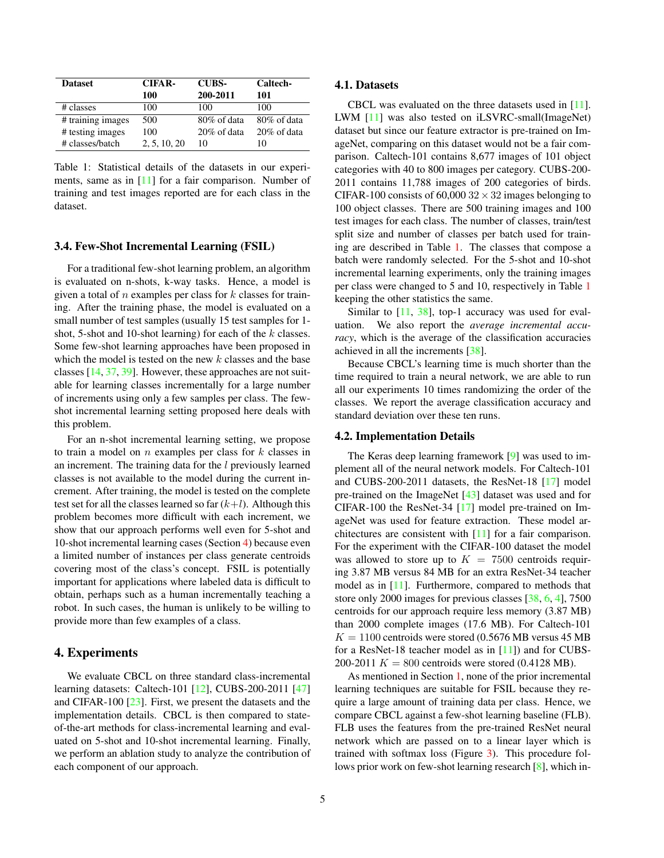| <b>Dataset</b>    | CIFAR-       | <b>CUBS-</b>   | Caltech-       |
|-------------------|--------------|----------------|----------------|
|                   | 100          | 200-2011       | 101            |
| # classes         | 100          | 100            | 100            |
| # training images | 500          | $80\%$ of data | $80\%$ of data |
| # testing images  | 100          | $20\%$ of data | $20\%$ of data |
| # classes/batch   | 2, 5, 10, 20 | 10             | 10             |

Table 1: Statistical details of the datasets in our experiments, same as in [11] for a fair comparison. Number of training and test images reported are for each class in the dataset.

## 3.4. Few-Shot Incremental Learning (FSIL)

For a traditional few-shot learning problem, an algorithm is evaluated on n-shots, k-way tasks. Hence, a model is given a total of  $n$  examples per class for  $k$  classes for training. After the training phase, the model is evaluated on a small number of test samples (usually 15 test samples for 1 shot, 5-shot and 10-shot learning) for each of the  $k$  classes. Some few-shot learning approaches have been proposed in which the model is tested on the new  $k$  classes and the base classes [14, 37, 39]. However, these approaches are not suitable for learning classes incrementally for a large number of increments using only a few samples per class. The fewshot incremental learning setting proposed here deals with this problem.

For an n-shot incremental learning setting, we propose to train a model on  $n$  examples per class for  $k$  classes in an increment. The training data for the  $l$  previously learned classes is not available to the model during the current increment. After training, the model is tested on the complete test set for all the classes learned so far  $(k+l)$ . Although this problem becomes more difficult with each increment, we show that our approach performs well even for 5-shot and 10-shot incremental learning cases (Section 4) because even a limited number of instances per class generate centroids covering most of the class's concept. FSIL is potentially important for applications where labeled data is difficult to obtain, perhaps such as a human incrementally teaching a robot. In such cases, the human is unlikely to be willing to provide more than few examples of a class.

## 4. Experiments

We evaluate CBCL on three standard class-incremental learning datasets: Caltech-101 [12], CUBS-200-2011 [47] and CIFAR-100 [23]. First, we present the datasets and the implementation details. CBCL is then compared to stateof-the-art methods for class-incremental learning and evaluated on 5-shot and 10-shot incremental learning. Finally, we perform an ablation study to analyze the contribution of each component of our approach.

#### 4.1. Datasets

CBCL was evaluated on the three datasets used in [11]. LWM [11] was also tested on iLSVRC-small(ImageNet) dataset but since our feature extractor is pre-trained on ImageNet, comparing on this dataset would not be a fair comparison. Caltech-101 contains 8,677 images of 101 object categories with 40 to 800 images per category. CUBS-200- 2011 contains 11,788 images of 200 categories of birds. CIFAR-100 consists of 60,000  $32 \times 32$  images belonging to 100 object classes. There are 500 training images and 100 test images for each class. The number of classes, train/test split size and number of classes per batch used for training are described in Table 1. The classes that compose a batch were randomly selected. For the 5-shot and 10-shot incremental learning experiments, only the training images per class were changed to 5 and 10, respectively in Table 1 keeping the other statistics the same.

Similar to  $[11, 38]$ , top-1 accuracy was used for evaluation. We also report the *average incremental accuracy*, which is the average of the classification accuracies achieved in all the increments [38].

Because CBCL's learning time is much shorter than the time required to train a neural network, we are able to run all our experiments 10 times randomizing the order of the classes. We report the average classification accuracy and standard deviation over these ten runs.

#### 4.2. Implementation Details

The Keras deep learning framework [9] was used to implement all of the neural network models. For Caltech-101 and CUBS-200-2011 datasets, the ResNet-18 [17] model pre-trained on the ImageNet [43] dataset was used and for CIFAR-100 the ResNet-34 [17] model pre-trained on ImageNet was used for feature extraction. These model architectures are consistent with [11] for a fair comparison. For the experiment with the CIFAR-100 dataset the model was allowed to store up to  $K = 7500$  centroids requiring 3.87 MB versus 84 MB for an extra ResNet-34 teacher model as in [11]. Furthermore, compared to methods that store only 2000 images for previous classes [38, 6, 4], 7500 centroids for our approach require less memory (3.87 MB) than 2000 complete images (17.6 MB). For Caltech-101  $K = 1100$  centroids were stored (0.5676 MB versus 45 MB for a ResNet-18 teacher model as in [11]) and for CUBS-200-2011  $K = 800$  centroids were stored (0.4128 MB).

As mentioned in Section 1, none of the prior incremental learning techniques are suitable for FSIL because they require a large amount of training data per class. Hence, we compare CBCL against a few-shot learning baseline (FLB). FLB uses the features from the pre-trained ResNet neural network which are passed on to a linear layer which is trained with softmax loss (Figure 3). This procedure follows prior work on few-shot learning research [8], which in-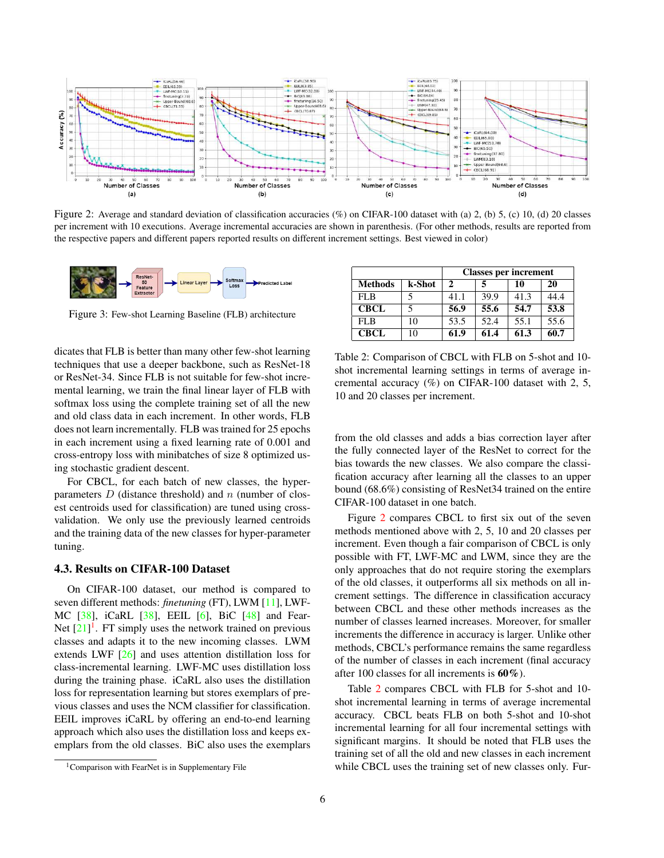

Figure 2: Average and standard deviation of classification accuracies (%) on CIFAR-100 dataset with (a) 2, (b) 5, (c) 10, (d) 20 classes per increment with 10 executions. Average incremental accuracies are shown in parenthesis. (For other methods, results are reported from the respective papers and different papers reported results on different increment settings. Best viewed in color)



Figure 3: Few-shot Learning Baseline (FLB) architecture

dicates that FLB is better than many other few-shot learning techniques that use a deeper backbone, such as ResNet-18 or ResNet-34. Since FLB is not suitable for few-shot incremental learning, we train the final linear layer of FLB with softmax loss using the complete training set of all the new and old class data in each increment. In other words, FLB does not learn incrementally. FLB was trained for 25 epochs in each increment using a fixed learning rate of 0.001 and cross-entropy loss with minibatches of size 8 optimized using stochastic gradient descent.

For CBCL, for each batch of new classes, the hyperparameters  $D$  (distance threshold) and  $n$  (number of closest centroids used for classification) are tuned using crossvalidation. We only use the previously learned centroids and the training data of the new classes for hyper-parameter tuning.

#### 4.3. Results on CIFAR-100 Dataset

On CIFAR-100 dataset, our method is compared to seven different methods: *finetuning* (FT), LWM [11], LWF-MC [38], iCaRL [38], EEIL [6], BiC [48] and Fear-Net  $[21]$ <sup>1</sup>. FT simply uses the network trained on previous classes and adapts it to the new incoming classes. LWM extends LWF [26] and uses attention distillation loss for class-incremental learning. LWF-MC uses distillation loss during the training phase. iCaRL also uses the distillation loss for representation learning but stores exemplars of previous classes and uses the NCM classifier for classification. EEIL improves iCaRL by offering an end-to-end learning approach which also uses the distillation loss and keeps exemplars from the old classes. BiC also uses the exemplars

|             |        | <b>Classes per increment</b> |      |      |      |
|-------------|--------|------------------------------|------|------|------|
| Methods     | k-Shot | 2                            | 5    | 10   | 20   |
| FL B        |        | 41.1                         | 39.9 | 41.3 | 44.4 |
| <b>CBCL</b> |        | 56.9                         | 55.6 | 54.7 | 53.8 |
| FLB         | 10     | 53.5                         | 52.4 | 55.1 | 55.6 |
| <b>CBCL</b> | 10     | 61.9                         | 61.4 | 61.3 | 60.7 |

Table 2: Comparison of CBCL with FLB on 5-shot and 10 shot incremental learning settings in terms of average incremental accuracy  $(\%)$  on CIFAR-100 dataset with 2, 5, 10 and 20 classes per increment.

from the old classes and adds a bias correction layer after the fully connected layer of the ResNet to correct for the bias towards the new classes. We also compare the classification accuracy after learning all the classes to an upper bound (68.6%) consisting of ResNet34 trained on the entire CIFAR-100 dataset in one batch.

Figure 2 compares CBCL to first six out of the seven methods mentioned above with 2, 5, 10 and 20 classes per increment. Even though a fair comparison of CBCL is only possible with FT, LWF-MC and LWM, since they are the only approaches that do not require storing the exemplars of the old classes, it outperforms all six methods on all increment settings. The difference in classification accuracy between CBCL and these other methods increases as the number of classes learned increases. Moreover, for smaller increments the difference in accuracy is larger. Unlike other methods, CBCL's performance remains the same regardless of the number of classes in each increment (final accuracy after 100 classes for all increments is 60%).

Table 2 compares CBCL with FLB for 5-shot and 10 shot incremental learning in terms of average incremental accuracy. CBCL beats FLB on both 5-shot and 10-shot incremental learning for all four incremental settings with significant margins. It should be noted that FLB uses the training set of all the old and new classes in each increment while CBCL uses the training set of new classes only. Fur-

<sup>&</sup>lt;sup>1</sup>Comparison with FearNet is in Supplementary File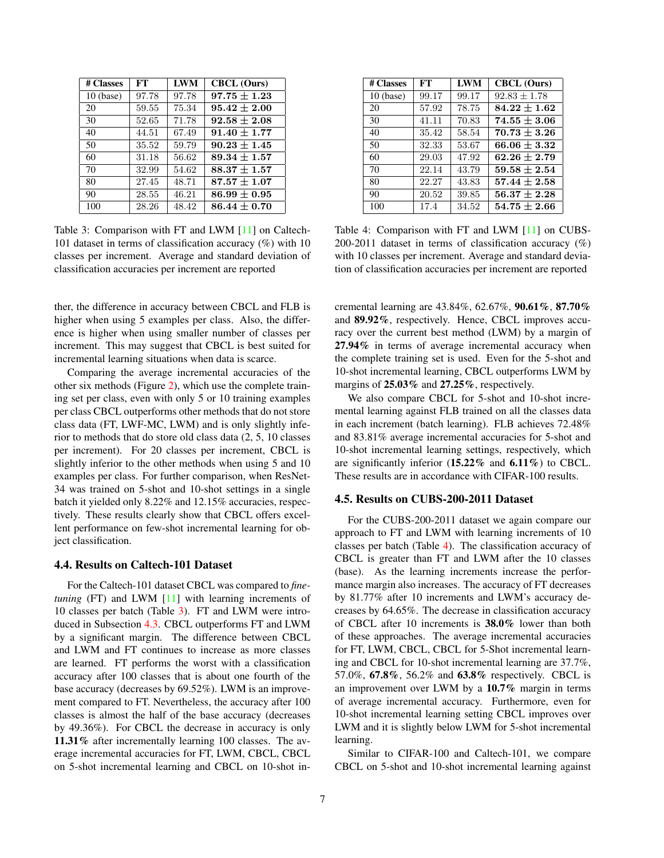| # Classes   | FT    | <b>LWM</b> | <b>CBCL</b> (Ours) |
|-------------|-------|------------|--------------------|
| $10$ (base) | 97.78 | 97.78      | $97.75 \pm 1.23$   |
| 20          | 59.55 | 75.34      | $95.42 \pm 2.00$   |
| 30          | 52.65 | 71.78      | $92.58 \pm 2.08$   |
| 40          | 44.51 | 67.49      | $91.40 \pm 1.77$   |
| 50          | 35.52 | 59.79      | $90.23 \pm 1.45$   |
| 60          | 31.18 | 56.62      | $89.34 + 1.57$     |
| 70          | 32.99 | 54.62      | $88.37 + 1.57$     |
| 80          | 27.45 | 48.71      | $87.57 \pm 1.07$   |
| 90          | 28.55 | 46.21      | $86.99 \pm 0.95$   |
| 100         | 28.26 | 48.42      | $86.44 \pm 0.70$   |

Table 3: Comparison with FT and LWM [11] on Caltech-101 dataset in terms of classification accuracy (%) with 10 classes per increment. Average and standard deviation of classification accuracies per increment are reported

ther, the difference in accuracy between CBCL and FLB is higher when using 5 examples per class. Also, the difference is higher when using smaller number of classes per increment. This may suggest that CBCL is best suited for incremental learning situations when data is scarce.

Comparing the average incremental accuracies of the other six methods (Figure 2), which use the complete training set per class, even with only 5 or 10 training examples per class CBCL outperforms other methods that do not store class data (FT, LWF-MC, LWM) and is only slightly inferior to methods that do store old class data (2, 5, 10 classes per increment). For 20 classes per increment, CBCL is slightly inferior to the other methods when using 5 and 10 examples per class. For further comparison, when ResNet-34 was trained on 5-shot and 10-shot settings in a single batch it yielded only 8.22% and 12.15% accuracies, respectively. These results clearly show that CBCL offers excellent performance on few-shot incremental learning for object classification.

#### 4.4. Results on Caltech-101 Dataset

For the Caltech-101 dataset CBCL was compared to *finetuning* (FT) and LWM [11] with learning increments of 10 classes per batch (Table 3). FT and LWM were introduced in Subsection 4.3. CBCL outperforms FT and LWM by a significant margin. The difference between CBCL and LWM and FT continues to increase as more classes are learned. FT performs the worst with a classification accuracy after 100 classes that is about one fourth of the base accuracy (decreases by 69.52%). LWM is an improvement compared to FT. Nevertheless, the accuracy after 100 classes is almost the half of the base accuracy (decreases by 49.36%). For CBCL the decrease in accuracy is only 11.31% after incrementally learning 100 classes. The average incremental accuracies for FT, LWM, CBCL, CBCL on 5-shot incremental learning and CBCL on 10-shot in-

| # Classes   | FT    | <b>LWM</b> | <b>CBCL</b> (Ours) |
|-------------|-------|------------|--------------------|
| $10$ (base) | 99.17 | 99.17      | $92.83 \pm 1.78$   |
| 20          | 57.92 | 78.75      | $84.22 \pm 1.62$   |
| 30          | 41.11 | 70.83      | $74.55 \pm 3.06$   |
| 40          | 35.42 | 58.54      | $70.73 + 3.26$     |
| 50          | 32.33 | 53.67      | $66.06 \pm 3.32$   |
| 60          | 29.03 | 47.92      | $62.26 + 2.79$     |
| 70          | 22.14 | 43.79      | $59.58 \pm 2.54$   |
| 80          | 22.27 | 43.83      | $57.44 \pm 2.58$   |
| 90          | 20.52 | 39.85      | $56.37 \pm 2.28$   |
| 100         | 17.4  | 34.52      | $54.75 \pm 2.66$   |

Table 4: Comparison with FT and LWM [11] on CUBS-200-2011 dataset in terms of classification accuracy (%) with 10 classes per increment. Average and standard deviation of classification accuracies per increment are reported

cremental learning are 43.84%, 62.67%, 90.61%, 87.70% and 89.92%, respectively. Hence, CBCL improves accuracy over the current best method (LWM) by a margin of 27.94% in terms of average incremental accuracy when the complete training set is used. Even for the 5-shot and 10-shot incremental learning, CBCL outperforms LWM by margins of 25.03% and 27.25%, respectively.

We also compare CBCL for 5-shot and 10-shot incremental learning against FLB trained on all the classes data in each increment (batch learning). FLB achieves 72.48% and 83.81% average incremental accuracies for 5-shot and 10-shot incremental learning settings, respectively, which are significantly inferior  $(15.22\%$  and  $6.11\%)$  to CBCL. These results are in accordance with CIFAR-100 results.

### 4.5. Results on CUBS-200-2011 Dataset

For the CUBS-200-2011 dataset we again compare our approach to FT and LWM with learning increments of 10 classes per batch (Table 4). The classification accuracy of CBCL is greater than FT and LWM after the 10 classes (base). As the learning increments increase the performance margin also increases. The accuracy of FT decreases by 81.77% after 10 increments and LWM's accuracy decreases by 64.65%. The decrease in classification accuracy of CBCL after 10 increments is 38.0% lower than both of these approaches. The average incremental accuracies for FT, LWM, CBCL, CBCL for 5-Shot incremental learning and CBCL for 10-shot incremental learning are 37.7%, 57.0%, 67.8%, 56.2% and 63.8% respectively. CBCL is an improvement over LWM by a 10.7% margin in terms of average incremental accuracy. Furthermore, even for 10-shot incremental learning setting CBCL improves over LWM and it is slightly below LWM for 5-shot incremental learning.

Similar to CIFAR-100 and Caltech-101, we compare CBCL on 5-shot and 10-shot incremental learning against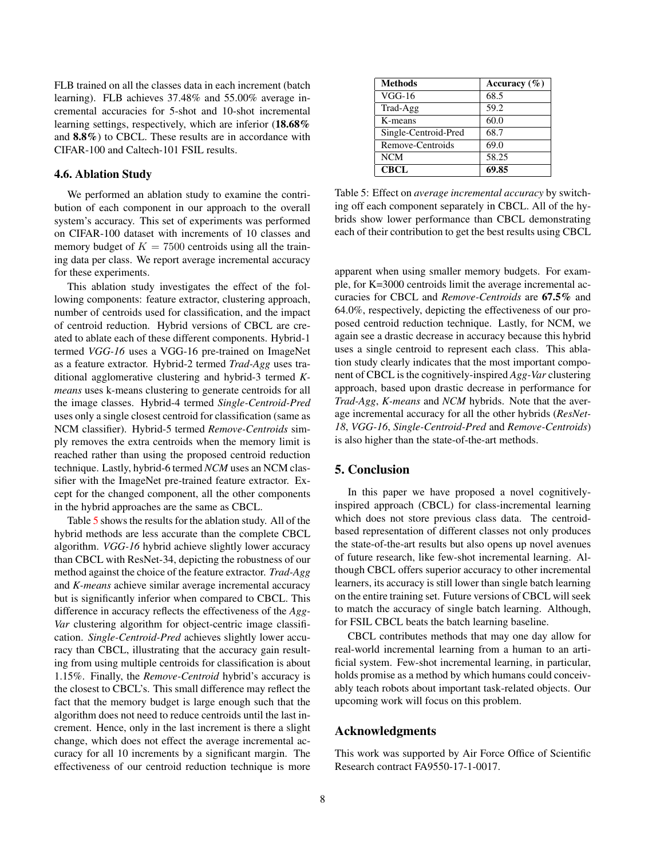FLB trained on all the classes data in each increment (batch learning). FLB achieves 37.48% and 55.00% average incremental accuracies for 5-shot and 10-shot incremental learning settings, respectively, which are inferior (18.68% and 8.8%) to CBCL. These results are in accordance with CIFAR-100 and Caltech-101 FSIL results.

#### 4.6. Ablation Study

We performed an ablation study to examine the contribution of each component in our approach to the overall system's accuracy. This set of experiments was performed on CIFAR-100 dataset with increments of 10 classes and memory budget of  $K = 7500$  centroids using all the training data per class. We report average incremental accuracy for these experiments.

This ablation study investigates the effect of the following components: feature extractor, clustering approach, number of centroids used for classification, and the impact of centroid reduction. Hybrid versions of CBCL are created to ablate each of these different components. Hybrid-1 termed *VGG-16* uses a VGG-16 pre-trained on ImageNet as a feature extractor. Hybrid-2 termed *Trad-Agg* uses traditional agglomerative clustering and hybrid-3 termed *Kmeans* uses k-means clustering to generate centroids for all the image classes. Hybrid-4 termed *Single-Centroid-Pred* uses only a single closest centroid for classification (same as NCM classifier). Hybrid-5 termed *Remove-Centroids* simply removes the extra centroids when the memory limit is reached rather than using the proposed centroid reduction technique. Lastly, hybrid-6 termed *NCM* uses an NCM classifier with the ImageNet pre-trained feature extractor. Except for the changed component, all the other components in the hybrid approaches are the same as CBCL.

Table 5 shows the results for the ablation study. All of the hybrid methods are less accurate than the complete CBCL algorithm. *VGG-16* hybrid achieve slightly lower accuracy than CBCL with ResNet-34, depicting the robustness of our method against the choice of the feature extractor. *Trad-Agg* and *K-means* achieve similar average incremental accuracy but is significantly inferior when compared to CBCL. This difference in accuracy reflects the effectiveness of the *Agg-Var* clustering algorithm for object-centric image classification. *Single-Centroid-Pred* achieves slightly lower accuracy than CBCL, illustrating that the accuracy gain resulting from using multiple centroids for classification is about 1.15%. Finally, the *Remove-Centroid* hybrid's accuracy is the closest to CBCL's. This small difference may reflect the fact that the memory budget is large enough such that the algorithm does not need to reduce centroids until the last increment. Hence, only in the last increment is there a slight change, which does not effect the average incremental accuracy for all 10 increments by a significant margin. The effectiveness of our centroid reduction technique is more

| <b>Methods</b>       | Accuracy $(\% )$ |
|----------------------|------------------|
| $VGG-16$             | 68.5             |
| Trad-Agg             | 59.2             |
| K-means              | 60.0             |
| Single-Centroid-Pred | 68.7             |
| Remove-Centroids     | 69.0             |
| <b>NCM</b>           | 58.25            |
| <b>CBCL</b>          | 69.85            |

Table 5: Effect on *average incremental accuracy* by switching off each component separately in CBCL. All of the hybrids show lower performance than CBCL demonstrating each of their contribution to get the best results using CBCL

apparent when using smaller memory budgets. For example, for K=3000 centroids limit the average incremental accuracies for CBCL and *Remove-Centroids* are 67.5% and 64.0%, respectively, depicting the effectiveness of our proposed centroid reduction technique. Lastly, for NCM, we again see a drastic decrease in accuracy because this hybrid uses a single centroid to represent each class. This ablation study clearly indicates that the most important component of CBCL is the cognitively-inspired *Agg-Var* clustering approach, based upon drastic decrease in performance for *Trad-Agg*, *K-means* and *NCM* hybrids. Note that the average incremental accuracy for all the other hybrids (*ResNet-18*, *VGG-16*, *Single-Centroid-Pred* and *Remove-Centroids*) is also higher than the state-of-the-art methods.

## 5. Conclusion

In this paper we have proposed a novel cognitivelyinspired approach (CBCL) for class-incremental learning which does not store previous class data. The centroidbased representation of different classes not only produces the state-of-the-art results but also opens up novel avenues of future research, like few-shot incremental learning. Although CBCL offers superior accuracy to other incremental learners, its accuracy is still lower than single batch learning on the entire training set. Future versions of CBCL will seek to match the accuracy of single batch learning. Although, for FSIL CBCL beats the batch learning baseline.

CBCL contributes methods that may one day allow for real-world incremental learning from a human to an artificial system. Few-shot incremental learning, in particular, holds promise as a method by which humans could conceivably teach robots about important task-related objects. Our upcoming work will focus on this problem.

## Acknowledgments

This work was supported by Air Force Office of Scientific Research contract FA9550-17-1-0017.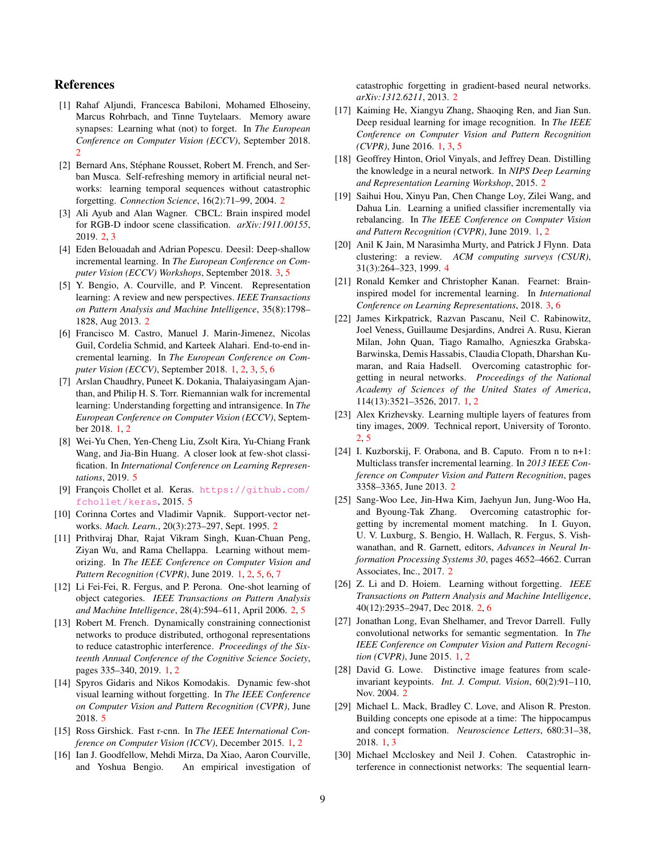## References

- [1] Rahaf Aljundi, Francesca Babiloni, Mohamed Elhoseiny, Marcus Rohrbach, and Tinne Tuytelaars. Memory aware synapses: Learning what (not) to forget. In *The European Conference on Computer Vision (ECCV)*, September 2018. 2
- [2] Bernard Ans, Stéphane Rousset, Robert M. French, and Serban Musca. Self-refreshing memory in artificial neural networks: learning temporal sequences without catastrophic forgetting. *Connection Science*, 16(2):71–99, 2004. 2
- [3] Ali Ayub and Alan Wagner. CBCL: Brain inspired model for RGB-D indoor scene classification. *arXiv:1911.00155*, 2019. 2, 3
- [4] Eden Belouadah and Adrian Popescu. Deesil: Deep-shallow incremental learning. In *The European Conference on Computer Vision (ECCV) Workshops*, September 2018. 3, 5
- [5] Y. Bengio, A. Courville, and P. Vincent. Representation learning: A review and new perspectives. *IEEE Transactions on Pattern Analysis and Machine Intelligence*, 35(8):1798– 1828, Aug 2013. 2
- [6] Francisco M. Castro, Manuel J. Marin-Jimenez, Nicolas Guil, Cordelia Schmid, and Karteek Alahari. End-to-end incremental learning. In *The European Conference on Computer Vision (ECCV)*, September 2018. 1, 2, 3, 5, 6
- [7] Arslan Chaudhry, Puneet K. Dokania, Thalaiyasingam Ajanthan, and Philip H. S. Torr. Riemannian walk for incremental learning: Understanding forgetting and intransigence. In *The European Conference on Computer Vision (ECCV)*, September 2018. 1, 2
- [8] Wei-Yu Chen, Yen-Cheng Liu, Zsolt Kira, Yu-Chiang Frank Wang, and Jia-Bin Huang. A closer look at few-shot classification. In *International Conference on Learning Representations*, 2019. 5
- [9] François Chollet et al. Keras. https://github.com/ fchollet/keras, 2015. 5
- [10] Corinna Cortes and Vladimir Vapnik. Support-vector networks. *Mach. Learn.*, 20(3):273–297, Sept. 1995. 2
- [11] Prithviraj Dhar, Rajat Vikram Singh, Kuan-Chuan Peng, Ziyan Wu, and Rama Chellappa. Learning without memorizing. In *The IEEE Conference on Computer Vision and Pattern Recognition (CVPR)*, June 2019. 1, 2, 5, 6, 7
- [12] Li Fei-Fei, R. Fergus, and P. Perona. One-shot learning of object categories. *IEEE Transactions on Pattern Analysis and Machine Intelligence*, 28(4):594–611, April 2006. 2, 5
- [13] Robert M. French. Dynamically constraining connectionist networks to produce distributed, orthogonal representations to reduce catastrophic interference. *Proceedings of the Sixteenth Annual Conference of the Cognitive Science Society*, pages 335–340, 2019. 1, 2
- [14] Spyros Gidaris and Nikos Komodakis. Dynamic few-shot visual learning without forgetting. In *The IEEE Conference on Computer Vision and Pattern Recognition (CVPR)*, June 2018. 5
- [15] Ross Girshick. Fast r-cnn. In *The IEEE International Conference on Computer Vision (ICCV)*, December 2015. 1, 2
- [16] Ian J. Goodfellow, Mehdi Mirza, Da Xiao, Aaron Courville, and Yoshua Bengio. An empirical investigation of

catastrophic forgetting in gradient-based neural networks. *arXiv:1312.6211*, 2013. 2

- [17] Kaiming He, Xiangyu Zhang, Shaoqing Ren, and Jian Sun. Deep residual learning for image recognition. In *The IEEE Conference on Computer Vision and Pattern Recognition (CVPR)*, June 2016. 1, 3, 5
- [18] Geoffrey Hinton, Oriol Vinyals, and Jeffrey Dean. Distilling the knowledge in a neural network. In *NIPS Deep Learning and Representation Learning Workshop*, 2015. 2
- [19] Saihui Hou, Xinyu Pan, Chen Change Loy, Zilei Wang, and Dahua Lin. Learning a unified classifier incrementally via rebalancing. In *The IEEE Conference on Computer Vision and Pattern Recognition (CVPR)*, June 2019. 1, 2
- [20] Anil K Jain, M Narasimha Murty, and Patrick J Flynn. Data clustering: a review. *ACM computing surveys (CSUR)*, 31(3):264–323, 1999. 4
- [21] Ronald Kemker and Christopher Kanan. Fearnet: Braininspired model for incremental learning. In *International Conference on Learning Representations*, 2018. 3, 6
- [22] James Kirkpatrick, Razvan Pascanu, Neil C. Rabinowitz, Joel Veness, Guillaume Desjardins, Andrei A. Rusu, Kieran Milan, John Quan, Tiago Ramalho, Agnieszka Grabska-Barwinska, Demis Hassabis, Claudia Clopath, Dharshan Kumaran, and Raia Hadsell. Overcoming catastrophic forgetting in neural networks. *Proceedings of the National Academy of Sciences of the United States of America*, 114(13):3521–3526, 2017. 1, 2
- [23] Alex Krizhevsky. Learning multiple layers of features from tiny images, 2009. Technical report, University of Toronto. 2, 5
- [24] I. Kuzborskij, F. Orabona, and B. Caputo. From n to n+1: Multiclass transfer incremental learning. In *2013 IEEE Conference on Computer Vision and Pattern Recognition*, pages 3358–3365, June 2013. 2
- [25] Sang-Woo Lee, Jin-Hwa Kim, Jaehyun Jun, Jung-Woo Ha, and Byoung-Tak Zhang. Overcoming catastrophic forgetting by incremental moment matching. In I. Guyon, U. V. Luxburg, S. Bengio, H. Wallach, R. Fergus, S. Vishwanathan, and R. Garnett, editors, *Advances in Neural Information Processing Systems 30*, pages 4652–4662. Curran Associates, Inc., 2017. 2
- [26] Z. Li and D. Hoiem. Learning without forgetting. *IEEE Transactions on Pattern Analysis and Machine Intelligence*, 40(12):2935–2947, Dec 2018. 2, 6
- [27] Jonathan Long, Evan Shelhamer, and Trevor Darrell. Fully convolutional networks for semantic segmentation. In *The IEEE Conference on Computer Vision and Pattern Recognition (CVPR)*, June 2015. 1, 2
- [28] David G. Lowe. Distinctive image features from scaleinvariant keypoints. *Int. J. Comput. Vision*, 60(2):91–110, Nov. 2004. 2
- [29] Michael L. Mack, Bradley C. Love, and Alison R. Preston. Building concepts one episode at a time: The hippocampus and concept formation. *Neuroscience Letters*, 680:31–38, 2018. 1, 3
- [30] Michael Mccloskey and Neil J. Cohen. Catastrophic interference in connectionist networks: The sequential learn-